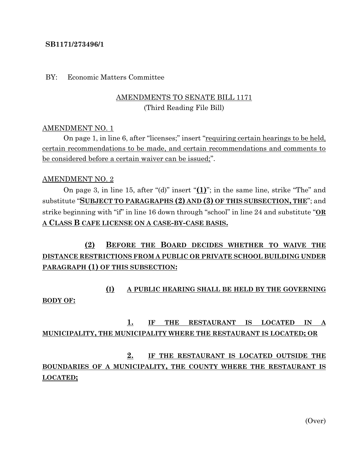### **SB1171/273496/1**

### BY: Economic Matters Committee

## AMENDMENTS TO SENATE BILL 1171 (Third Reading File Bill)

### AMENDMENT NO. 1

On page 1, in line 6, after "licenses;" insert "requiring certain hearings to be held, certain recommendations to be made, and certain recommendations and comments to be considered before a certain waiver can be issued;".

### AMENDMENT NO. 2

On page 3, in line 15, after "(d)" insert "**(1)**"; in the same line, strike "The" and substitute "**SUBJECT TO PARAGRAPHS (2) AND (3) OF THIS SUBSECTION, THE**"; and strike beginning with "if" in line 16 down through "school" in line 24 and substitute "**OR A CLASS B CAFE LICENSE ON A CASE-BY-CASE BASIS.**

# **(2) BEFORE THE BOARD DECIDES WHETHER TO WAIVE THE DISTANCE RESTRICTIONS FROM A PUBLIC OR PRIVATE SCHOOL BUILDING UNDER PARAGRAPH (1) OF THIS SUBSECTION:**

# **(I) A PUBLIC HEARING SHALL BE HELD BY THE GOVERNING BODY OF:**

# **1. IF THE RESTAURANT IS LOCATED IN A MUNICIPALITY, THE MUNICIPALITY WHERE THE RESTAURANT IS LOCATED; OR**

# **2. IF THE RESTAURANT IS LOCATED OUTSIDE THE BOUNDARIES OF A MUNICIPALITY, THE COUNTY WHERE THE RESTAURANT IS LOCATED;**

(Over)